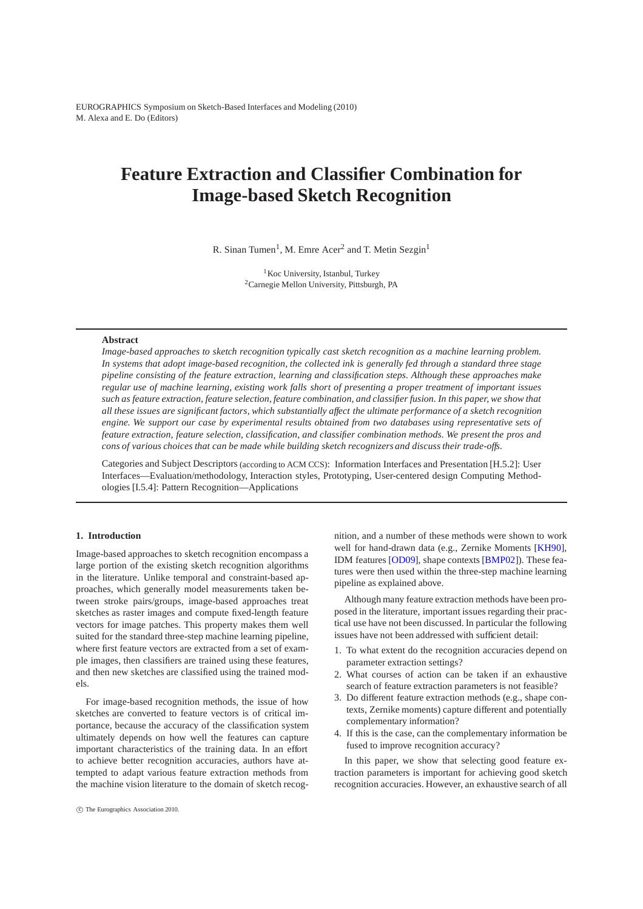# **Feature Extraction and Classifier Combination for Image-based Sketch Recognition**

R. Sinan Tumen<sup>1</sup>, M. Emre Acer<sup>2</sup> and T. Metin Sezgin<sup>1</sup>

<sup>1</sup> Koc University, Istanbul, Turkey 2Carnegie Mellon University, Pittsburgh, PA

#### **Abstract**

*Image-based approaches to sketch recognition typically cast sketch recognition as a machine learning problem. In systems that adopt image-based recognition, the collected ink is generally fed through a standard three stage pipeline consisting of the feature extraction, learning and classification steps. Although these approaches make regular use of machine learning, existing work falls short of presenting a proper treatment of important issues such as feature extraction, feature selection, feature combination, and classifier fusion. In this paper, we show that all these issues are significant factors, which substantially affect the ultimate performance of a sketch recognition engine. We support our case by experimental results obtained from two databases using representative sets of feature extraction, feature selection, classification, and classifier combination methods. We present the pros and cons of various choices that can be made while building sketch recognizers and discuss their trade-offs.*

Categories and Subject Descriptors (according to ACM CCS): Information Interfaces and Presentation [H.5.2]: User Interfaces—Evaluation/methodology, Interaction styles, Prototyping, User-centered design Computing Methodologies [I.5.4]: Pattern Recognition—Applications

# **1. Introduction**

Image-based approaches to sketch recognition encompass a large portion of the existing sketch recognition algorithms in the literature. Unlike temporal and constraint-based approaches, which generally model measurements taken between stroke pairs/groups, image-based approaches treat sketches as raster images and compute fixed-length feature vectors for image patches. This property makes them well suited for the standard three-step machine learning pipeline, where first feature vectors are extracted from a set of example images, then classifiers are trained using these features, and then new sketches are classified using the trained models.

For image-based recognition methods, the issue of how sketches are converted to feature vectors is of critical importance, because the accuracy of the classification system ultimately depends on how well the features can capture important characteristics of the training data. In an effort to achieve better recognition accuracies, authors have attempted to adapt various feature extraction methods from the machine vision literature to the domain of sketch recognition, and a number of these methods were shown to work well for hand-drawn data (e.g., Zernike Moments [\[KH90\]](#page-7-0), IDM features [\[OD09\]](#page-7-1), shape contexts [\[BMP02\]](#page-7-2)). These features were then used within the three-step machine learning pipeline as explained above.

Although many feature extraction methods have been proposed in the literature, important issues regarding their practical use have not been discussed. In particular the following issues have not been addressed with sufficient detail:

- 1. To what extent do the recognition accuracies depend on parameter extraction settings?
- 2. What courses of action can be taken if an exhaustive search of feature extraction parameters is not feasible?
- 3. Do different feature extraction methods (e.g., shape contexts, Zernike moments) capture different and potentially complementary information?
- 4. If this is the case, can the complementary information be fused to improve recognition accuracy?

In this paper, we show that selecting good feature extraction parameters is important for achieving good sketch recognition accuracies. However, an exhaustive search of all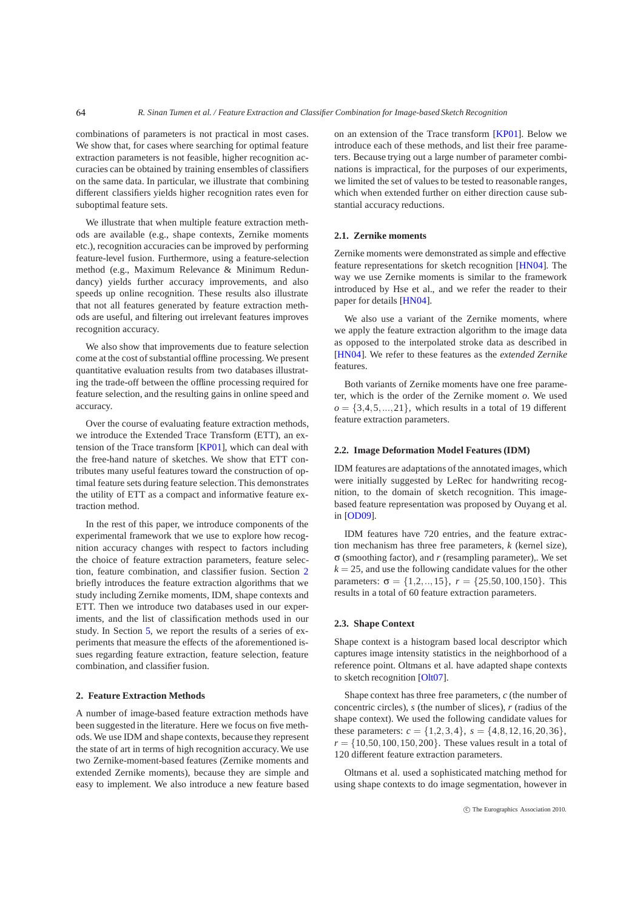combinations of parameters is not practical in most cases. We show that, for cases where searching for optimal feature extraction parameters is not feasible, higher recognition accuracies can be obtained by training ensembles of classifiers on the same data. In particular, we illustrate that combining different classifiers yields higher recognition rates even for suboptimal feature sets.

We illustrate that when multiple feature extraction methods are available (e.g., shape contexts, Zernike moments etc.), recognition accuracies can be improved by performing feature-level fusion. Furthermore, using a feature-selection method (e.g., Maximum Relevance & Minimum Redundancy) yields further accuracy improvements, and also speeds up online recognition. These results also illustrate that not all features generated by feature extraction methods are useful, and filtering out irrelevant features improves recognition accuracy.

We also show that improvements due to feature selection come at the cost of substantial offline processing. We present quantitative evaluation results from two databases illustrating the trade-off between the offline processing required for feature selection, and the resulting gains in online speed and accuracy.

Over the course of evaluating feature extraction methods, we introduce the Extended Trace Transform (ETT), an extension of the Trace transform [\[KP01\]](#page-7-3), which can deal with the free-hand nature of sketches. We show that ETT contributes many useful features toward the construction of optimal feature sets during feature selection. This demonstrates the utility of ETT as a compact and informative feature extraction method.

In the rest of this paper, we introduce components of the experimental framework that we use to explore how recognition accuracy changes with respect to factors including the choice of feature extraction parameters, feature selection, feature combination, and classifier fusion. Section [2](#page-1-0) briefly introduces the feature extraction algorithms that we study including Zernike moments, IDM, shape contexts and ETT. Then we introduce two databases used in our experiments, and the list of classification methods used in our study. In Section [5,](#page-3-0) we report the results of a series of experiments that measure the effects of the aforementioned issues regarding feature extraction, feature selection, feature combination, and classifier fusion.

#### <span id="page-1-0"></span>**2. Feature Extraction Methods**

A number of image-based feature extraction methods have been suggested in the literature. Here we focus on five methods. We use IDM and shape contexts, because they represent the state of art in terms of high recognition accuracy. We use two Zernike-moment-based features (Zernike moments and extended Zernike moments), because they are simple and easy to implement. We also introduce a new feature based on an extension of the Trace transform [\[KP01\]](#page-7-3). Below we introduce each of these methods, and list their free parameters. Because trying out a large number of parameter combinations is impractical, for the purposes of our experiments, we limited the set of values to be tested to reasonable ranges, which when extended further on either direction cause substantial accuracy reductions.

#### **2.1. Zernike moments**

Zernike moments were demonstrated as simple and effective feature representations for sketch recognition [\[HN04\]](#page-7-4). The way we use Zernike moments is similar to the framework introduced by Hse et al., and we refer the reader to their paper for details [\[HN04\]](#page-7-4).

We also use a variant of the Zernike moments, where we apply the feature extraction algorithm to the image data as opposed to the interpolated stroke data as described in [\[HN04\]](#page-7-4). We refer to these features as the *extended Zernike* features.

Both variants of Zernike moments have one free parameter, which is the order of the Zernike moment *o*. We used  $o = \{3,4,5,\ldots,21\}$ , which results in a total of 19 different feature extraction parameters.

#### **2.2. Image Deformation Model Features (IDM)**

IDM features are adaptations of the annotated images, which were initially suggested by LeRec for handwriting recognition, to the domain of sketch recognition. This imagebased feature representation was proposed by Ouyang et al. in [\[OD09\]](#page-7-1).

IDM features have 720 entries, and the feature extraction mechanism has three free parameters, *k* (kernel size),  $\sigma$  (smoothing factor), and *r* (resampling parameter),. We set  $k = 25$ , and use the following candidate values for the other parameters:  $\sigma = \{1, 2, ..., 15\}, r = \{25, 50, 100, 150\}.$  This results in a total of 60 feature extraction parameters.

# **2.3. Shape Context**

Shape context is a histogram based local descriptor which captures image intensity statistics in the neighborhood of a reference point. Oltmans et al. have adapted shape contexts to sketch recognition [\[Olt07\]](#page-7-5).

Shape context has three free parameters, *c* (the number of concentric circles), *s* (the number of slices), *r* (radius of the shape context). We used the following candidate values for these parameters:  $c = \{1, 2, 3, 4\}$ ,  $s = \{4, 8, 12, 16, 20, 36\}$ ,  $r = \{10, 50, 100, 150, 200\}$ . These values result in a total of 120 different feature extraction parameters.

Oltmans et al. used a sophisticated matching method for using shape contexts to do image segmentation, however in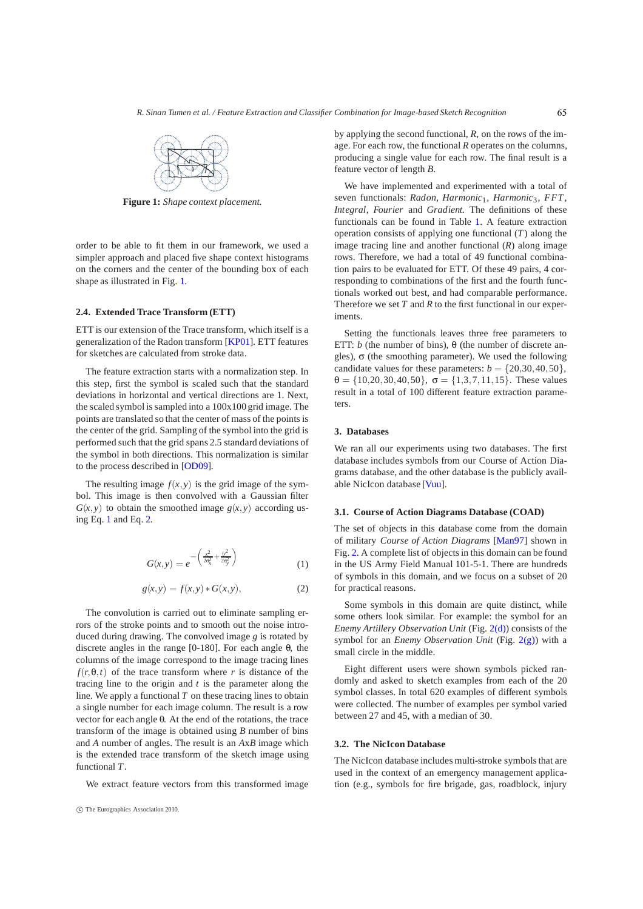

<span id="page-2-0"></span>**Figure 1:** *Shape context placement.*

order to be able to fit them in our framework, we used a simpler approach and placed five shape context histograms on the corners and the center of the bounding box of each shape as illustrated in Fig. [1.](#page-2-0)

# **2.4. Extended Trace Transform (ETT)**

ETT is our extension of the Trace transform, which itself is a generalization of the Radon transform [\[KP01\]](#page-7-3). ETT features for sketches are calculated from stroke data.

The feature extraction starts with a normalization step. In this step, first the symbol is scaled such that the standard deviations in horizontal and vertical directions are 1. Next, the scaled symbol is sampled into a 100x100 grid image. The points are translated so that the center of mass of the points is the center of the grid. Sampling of the symbol into the grid is performed such that the grid spans 2.5 standard deviations of the symbol in both directions. This normalization is similar to the process described in [\[OD09\]](#page-7-1).

<span id="page-2-1"></span>The resulting image  $f(x, y)$  is the grid image of the symbol. This image is then convolved with a Gaussian filter  $G(x, y)$  to obtain the smoothed image  $g(x, y)$  according using Eq. [1](#page-2-1) and Eq. [2.](#page-2-2)

$$
G(x,y) = e^{-\left(\frac{x^2}{2\sigma_x^2} + \frac{y^2}{2\sigma_y^2}\right)}
$$
 (1)

$$
g(x, y) = f(x, y) * G(x, y), \qquad (2)
$$

<span id="page-2-2"></span>The convolution is carried out to eliminate sampling errors of the stroke points and to smooth out the noise introduced during drawing. The convolved image *g* is rotated by discrete angles in the range  $[0-180]$ . For each angle  $\theta$ , the columns of the image correspond to the image tracing lines  $f(r, \theta, t)$  of the trace transform where *r* is distance of the tracing line to the origin and *t* is the parameter along the line. We apply a functional *T* on these tracing lines to obtain a single number for each image column. The result is a row vector for each angle  $\theta$ . At the end of the rotations, the trace transform of the image is obtained using *B* number of bins and *A* number of angles. The result is an *A*x*B* image which is the extended trace transform of the sketch image using functional *T*.

We extract feature vectors from this transformed image

by applying the second functional, *R*, on the rows of the image. For each row, the functional *R* operates on the columns, producing a single value for each row. The final result is a feature vector of length *B*.

We have implemented and experimented with a total of seven functionals: *Radon*, *Harmonic*<sub>1</sub>, *Harmonic*<sub>3</sub>, *FFT*, *Integral*, *Fourier* and *Gradient*. The definitions of these functionals can be found in Table [1.](#page-3-1) A feature extraction operation consists of applying one functional (*T* ) along the image tracing line and another functional (*R*) along image rows. Therefore, we had a total of 49 functional combination pairs to be evaluated for ETT. Of these 49 pairs, 4 corresponding to combinations of the first and the fourth functionals worked out best, and had comparable performance. Therefore we set  $T$  and  $R$  to the first functional in our experiments.

Setting the functionals leaves three free parameters to ETT: *b* (the number of bins),  $\theta$  (the number of discrete angles),  $\sigma$  (the smoothing parameter). We used the following candidate values for these parameters:  $b = \{20, 30, 40, 50\},\$  $\theta = \{10, 20, 30, 40, 50\}, \sigma = \{1, 3, 7, 11, 15\}.$  These values result in a total of 100 different feature extraction parameters.

# **3. Databases**

We ran all our experiments using two databases. The first database includes symbols from our Course of Action Diagrams database, and the other database is the publicly available NicIcon database [\[Vuu\]](#page-7-6).

## **3.1. Course of Action Diagrams Database (COAD)**

The set of objects in this database come from the domain of military *Course of Action Diagrams* [\[Man97\]](#page-7-7) shown in Fig. [2.](#page-3-2) A complete list of objects in this domain can be found in the US Army Field Manual 101-5-1. There are hundreds of symbols in this domain, and we focus on a subset of 20 for practical reasons.

Some symbols in this domain are quite distinct, while some others look similar. For example: the symbol for an *Enemy Artillery Observation Unit* (Fig. [2\(d\)\)](#page-3-3) consists of the symbol for an *Enemy Observation Unit* (Fig. [2\(g\)\)](#page-3-4) with a small circle in the middle.

Eight different users were shown symbols picked randomly and asked to sketch examples from each of the 20 symbol classes. In total 620 examples of different symbols were collected. The number of examples per symbol varied between 27 and 45, with a median of 30.

## **3.2. The NicIcon Database**

The NicIcon database includes multi-stroke symbols that are used in the context of an emergency management application (e.g., symbols for fire brigade, gas, roadblock, injury

<sup>-</sup>c The Eurographics Association 2010.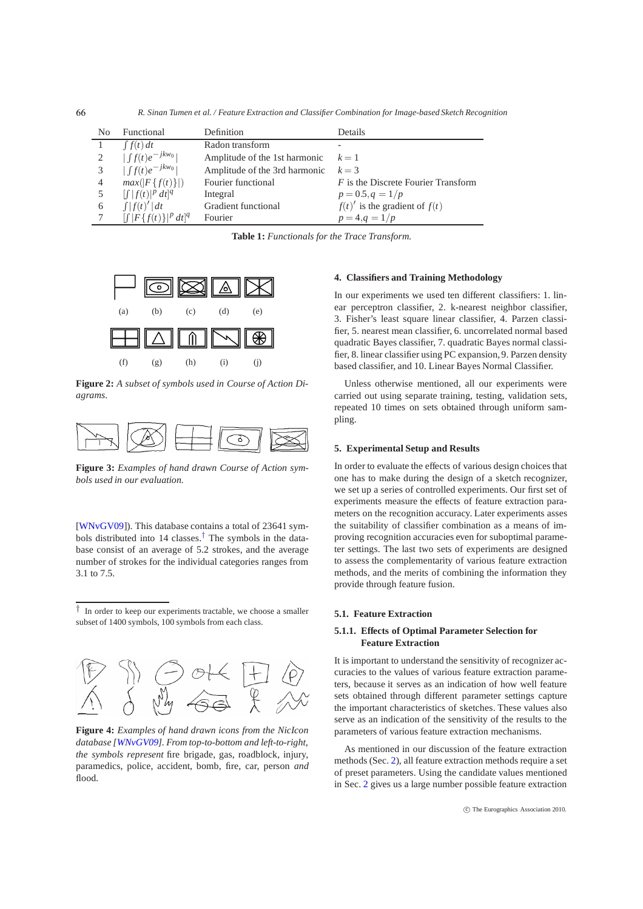*R. Sinan Tumen et al. / Feature Extraction and Classifier Combination for Image-based Sketch Recognition*

| No             | Functional                            | Definition                    | Details                             |
|----------------|---------------------------------------|-------------------------------|-------------------------------------|
|                | $\int f(t) dt$                        | Radon transform               |                                     |
|                | $\left  \int f(t) e^{-jkw_0} \right $ | Amplitude of the 1st harmonic | $k=1$                               |
|                | $\left  \int f(t) e^{-jkw_0} \right $ | Amplitude of the 3rd harmonic | $k=3$                               |
| $\overline{4}$ | $max( F\{f(t)\} )$                    | Fourier functional            | F is the Discrete Fourier Transform |
|                | $\int  f(t) ^p dt ^q$                 | Integral                      | $p = 0.5, q = 1/p$                  |
| 6              | $\int  f(t)' dt$                      | Gradient functional           | $f(t)$ ' is the gradient of $f(t)$  |
|                | $\int  F\{f(t)\} ^p dt ^q$            | Fourier                       | $p = 4, q = 1/p$                    |

<span id="page-3-6"></span><span id="page-3-1"></span>**Table 1:** *Functionals for the Trace Transform.*

<span id="page-3-4"></span><span id="page-3-3"></span>

<span id="page-3-2"></span>**Figure 2:** *A subset of symbols used in Course of Action Diagrams.*



**Figure 3:** *Examples of hand drawn Course of Action symbols used in our evaluation.*

[\[WNvGV09\]](#page-7-8)). This database contains a total of 23641 symbols distributed into 14 classes.[†](#page-3-5) The symbols in the database consist of an average of 5.2 strokes, and the average number of strokes for the individual categories ranges from 3.1 to 7.5.

<span id="page-3-5"></span>*†* In order to keep our experiments tractable, we choose a smaller subset of 1400 symbols, 100 symbols from each class.



**Figure 4:** *Examples of hand drawn icons from the NicIcon database [\[WNvGV09\]](#page-7-8). From top-to-bottom and left-to-right, the symbols represent* fire brigade, gas, roadblock, injury, paramedics, police, accident, bomb, fire, car, person *and* flood*.*

## **4. Classifiers and Training Methodology**

In our experiments we used ten different classifiers: 1. linear perceptron classifier, 2. k-nearest neighbor classifier, 3. Fisher's least square linear classifier, 4. Parzen classifier, 5. nearest mean classifier, 6. uncorrelated normal based quadratic Bayes classifier, 7. quadratic Bayes normal classifier, 8. linear classifier using PC expansion,9. Parzen density based classifier, and 10. Linear Bayes Normal Classifier.

<span id="page-3-0"></span>Unless otherwise mentioned, all our experiments were carried out using separate training, testing, validation sets, repeated 10 times on sets obtained through uniform sampling.

# **5. Experimental Setup and Results**

In order to evaluate the effects of various design choices that one has to make during the design of a sketch recognizer, we set up a series of controlled experiments. Our first set of experiments measure the effects of feature extraction parameters on the recognition accuracy. Later experiments asses the suitability of classifier combination as a means of improving recognition accuracies even for suboptimal parameter settings. The last two sets of experiments are designed to assess the complementarity of various feature extraction methods, and the merits of combining the information they provide through feature fusion.

#### **5.1. Feature Extraction**

# **5.1.1. Effects of Optimal Parameter Selection for Feature Extraction**

It is important to understand the sensitivity of recognizer accuracies to the values of various feature extraction parameters, because it serves as an indication of how well feature sets obtained through different parameter settings capture the important characteristics of sketches. These values also serve as an indication of the sensitivity of the results to the parameters of various feature extraction mechanisms.

As mentioned in our discussion of the feature extraction methods (Sec. [2\)](#page-1-0), all feature extraction methods require a set of preset parameters. Using the candidate values mentioned in Sec. [2](#page-1-0) gives us a large number possible feature extraction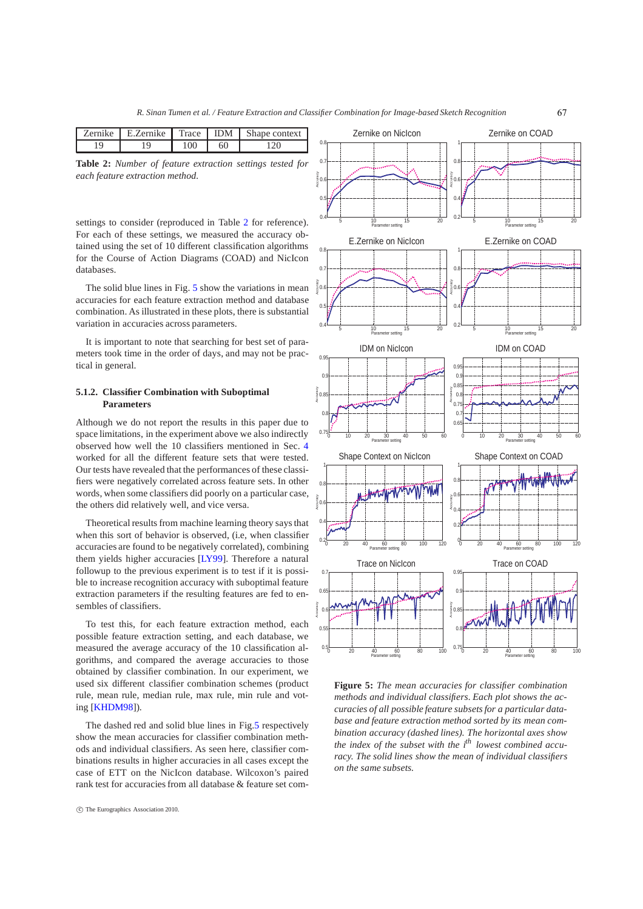<span id="page-4-0"></span>

| $\cdots$<br>Zernike. | Zernike<br>н 1 | Trace I | <b>IDM</b> | context |
|----------------------|----------------|---------|------------|---------|
|                      |                |         | 60         |         |

**Table 2:** *Number of feature extraction settings tested for each feature extraction method.*

settings to consider (reproduced in Table [2](#page-4-0) for reference). For each of these settings, we measured the accuracy obtained using the set of 10 different classification algorithms for the Course of Action Diagrams (COAD) and NicIcon databases.

The solid blue lines in Fig. [5](#page-4-1) show the variations in mean accuracies for each feature extraction method and database combination. As illustrated in these plots, there is substantial variation in accuracies across parameters.

It is important to note that searching for best set of parameters took time in the order of days, and may not be practical in general.

## **5.1.2. Classifier Combination with Suboptimal Parameters**

Although we do not report the results in this paper due to space limitations, in the experiment above we also indirectly observed how well the 10 classifiers mentioned in Sec. [4](#page-3-6) worked for all the different feature sets that were tested. Our tests have revealed that the performances of these classifiers were negatively correlated across feature sets. In other words, when some classifiers did poorly on a particular case, the others did relatively well, and vice versa.

Theoretical results from machine learning theory says that when this sort of behavior is observed, (i.e, when classifier accuracies are found to be negatively correlated), combining them yields higher accuracies [\[LY99\]](#page-7-9). Therefore a natural followup to the previous experiment is to test if it is possible to increase recognition accuracy with suboptimal feature extraction parameters if the resulting features are fed to ensembles of classifiers.

To test this, for each feature extraction method, each possible feature extraction setting, and each database, we measured the average accuracy of the 10 classification algorithms, and compared the average accuracies to those obtained by classifier combination. In our experiment, we used six different classifier combination schemes (product rule, mean rule, median rule, max rule, min rule and voting [\[KHDM98\]](#page-7-10)).

The dashed red and solid blue lines in Fig[.5](#page-4-1) respectively show the mean accuracies for classifier combination methods and individual classifiers. As seen here, classifier combinations results in higher accuracies in all cases except the case of ETT on the NicIcon database. Wilcoxon's paired rank test for accuracies from all database & feature set com-



<span id="page-4-1"></span>**Figure 5:** *The mean accuracies for classifier combination methods and individual classifiers. Each plot shows the accuracies of all possible feature subsets for a particular database and feature extraction method sorted by its mean combination accuracy (dashed lines). The horizontal axes show the index of the subset with the ith lowest combined accuracy. The solid lines show the mean of individual classifiers on the same subsets.*

<sup>-</sup>c The Eurographics Association 2010.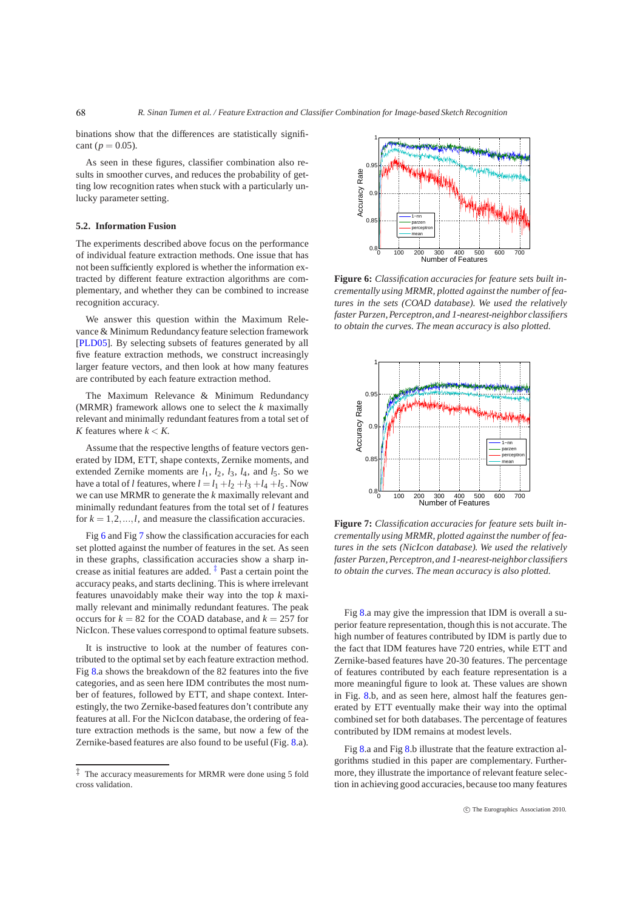binations show that the differences are statistically significant ( $p = 0.05$ ).

As seen in these figures, classifier combination also results in smoother curves, and reduces the probability of getting low recognition rates when stuck with a particularly unlucky parameter setting.

#### **5.2. Information Fusion**

68

The experiments described above focus on the performance of individual feature extraction methods. One issue that has not been sufficiently explored is whether the information extracted by different feature extraction algorithms are complementary, and whether they can be combined to increase recognition accuracy.

We answer this question within the Maximum Relevance & Minimum Redundancy feature selection framework [\[PLD05\]](#page-7-11). By selecting subsets of features generated by all five feature extraction methods, we construct increasingly larger feature vectors, and then look at how many features are contributed by each feature extraction method.

The Maximum Relevance & Minimum Redundancy (MRMR) framework allows one to select the *k* maximally relevant and minimally redundant features from a total set of *K* features where  $k < K$ .

Assume that the respective lengths of feature vectors generated by IDM, ETT, shape contexts, Zernike moments, and extended Zernike moments are  $l_1$ ,  $l_2$ ,  $l_3$ ,  $l_4$ , and  $l_5$ . So we have a total of *l* features, where  $l = l_1 + l_2 + l_3 + l_4 + l_5$ . Now we can use MRMR to generate the *k* maximally relevant and minimally redundant features from the total set of *l* features for  $k = 1, 2, \ldots, l$ , and measure the classification accuracies.

Fig [6](#page-5-0) and Fig [7](#page-5-1) show the classification accuracies for each set plotted against the number of features in the set. As seen in these graphs, classification accuracies show a sharp increase as initial features are added.  $\frac{1}{x}$  Past a certain point the accuracy peaks, and starts declining. This is where irrelevant features unavoidably make their way into the top *k* maximally relevant and minimally redundant features. The peak occurs for  $k = 82$  for the COAD database, and  $k = 257$  for NicIcon. These values correspond to optimal feature subsets.

It is instructive to look at the number of features contributed to the optimal set by each feature extraction method. Fig [8.](#page-6-0)a shows the breakdown of the 82 features into the five categories, and as seen here IDM contributes the most number of features, followed by ETT, and shape context. Interestingly, the two Zernike-based features don't contribute any features at all. For the NicIcon database, the ordering of feature extraction methods is the same, but now a few of the Zernike-based features are also found to be useful (Fig. [8.](#page-6-0)a).



<span id="page-5-0"></span>**Figure 6:** *Classification accuracies for feature sets built incrementally using MRMR, plotted against the number of features in the sets (COAD database). We used the relatively faster Parzen, Perceptron,and 1-nearest-neighbor classifiers to obtain the curves. The mean accuracy is also plotted.*



<span id="page-5-1"></span>**Figure 7:** *Classification accuracies for feature sets built incrementally using MRMR, plotted against the number of features in the sets (NicIcon database). We used the relatively faster Parzen, Perceptron,and 1-nearest-neighbor classifiers to obtain the curves. The mean accuracy is also plotted.*

Fig [8.](#page-6-0)a may give the impression that IDM is overall a superior feature representation, though this is not accurate. The high number of features contributed by IDM is partly due to the fact that IDM features have 720 entries, while ETT and Zernike-based features have 20-30 features. The percentage of features contributed by each feature representation is a more meaningful figure to look at. These values are shown in Fig. [8.](#page-6-0)b, and as seen here, almost half the features generated by ETT eventually make their way into the optimal combined set for both databases. The percentage of features contributed by IDM remains at modest levels.

Fig [8.](#page-6-0)a and Fig [8.](#page-6-0)b illustrate that the feature extraction algorithms studied in this paper are complementary. Furthermore, they illustrate the importance of relevant feature selection in achieving good accuracies, because too many features

<span id="page-5-2"></span>*<sup>‡</sup>* The accuracy measurements for MRMR were done using 5 fold cross validation.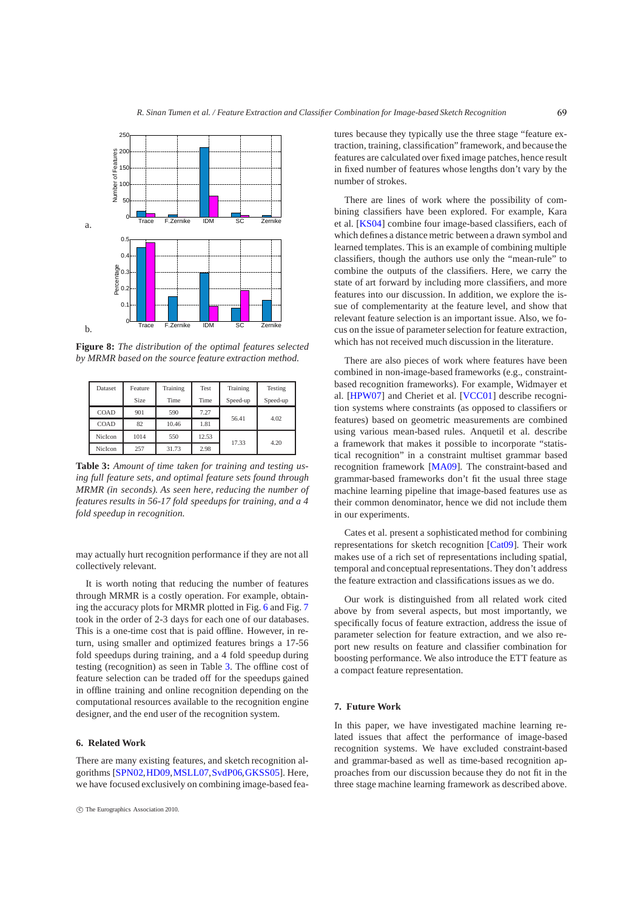

<span id="page-6-0"></span>**Figure 8:** *The distribution of the optimal features selected by MRMR based on the source feature extraction method.*

| Dataset | Feature | Training | Test  | Training | Testing  |
|---------|---------|----------|-------|----------|----------|
|         | Size    | Time     | Time  | Speed-up | Speed-up |
| COAD    | 901     | 590      | 7.27  |          | 4.02     |
| COAD    | 82      | 10.46    | 1.81  | 56.41    |          |
| NicIcon | 1014    | 550      | 12.53 | 17.33    | 4.20     |
| NicIcon | 257     | 31.73    | 2.98  |          |          |

<span id="page-6-1"></span>**Table 3:** *Amount of time taken for training and testing using full feature sets, and optimal feature sets found through MRMR (in seconds). As seen here, reducing the number of features results in 56-17 fold speedups for training, and a 4 fold speedup in recognition.*

may actually hurt recognition performance if they are not all collectively relevant.

It is worth noting that reducing the number of features through MRMR is a costly operation. For example, obtaining the accuracy plots for MRMR plotted in Fig. [6](#page-5-0) and Fig. [7](#page-5-1) took in the order of 2-3 days for each one of our databases. This is a one-time cost that is paid offline. However, in return, using smaller and optimized features brings a 17-56 fold speedups during training, and a 4 fold speedup during testing (recognition) as seen in Table [3.](#page-6-1) The offline cost of feature selection can be traded off for the speedups gained in offline training and online recognition depending on the computational resources available to the recognition engine designer, and the end user of the recognition system.

## **6. Related Work**

There are many existing features, and sketch recognition algorithms [\[SPN02](#page-7-12)[,HD09](#page-7-13)[,MSLL07,](#page-7-14)[SvdP06,](#page-7-15)[GKSS05\]](#page-7-16). Here, we have focused exclusively on combining image-based features because they typically use the three stage "feature extraction, training, classification" framework, and because the features are calculated over fixed image patches, hence result in fixed number of features whose lengths don't vary by the number of strokes.

There are lines of work where the possibility of combining classifiers have been explored. For example, Kara et al. [\[KS04\]](#page-7-17) combine four image-based classifiers, each of which defines a distance metric between a drawn symbol and learned templates. This is an example of combining multiple classifiers, though the authors use only the "mean-rule" to combine the outputs of the classifiers. Here, we carry the state of art forward by including more classifiers, and more features into our discussion. In addition, we explore the issue of complementarity at the feature level, and show that relevant feature selection is an important issue. Also, we focus on the issue of parameter selection for feature extraction, which has not received much discussion in the literature.

There are also pieces of work where features have been combined in non-image-based frameworks (e.g., constraintbased recognition frameworks). For example, Widmayer et al. [\[HPW07\]](#page-7-18) and Cheriet et al. [\[VCC01\]](#page-7-19) describe recognition systems where constraints (as opposed to classifiers or features) based on geometric measurements are combined using various mean-based rules. Anquetil et al. describe a framework that makes it possible to incorporate "statistical recognition" in a constraint multiset grammar based recognition framework [\[MA09\]](#page-7-20). The constraint-based and grammar-based frameworks don't fit the usual three stage machine learning pipeline that image-based features use as their common denominator, hence we did not include them in our experiments.

Cates et al. present a sophisticated method for combining representations for sketch recognition [\[Cat09\]](#page-7-21). Their work makes use of a rich set of representations including spatial, temporal and conceptual representations. They don't address the feature extraction and classifications issues as we do.

Our work is distinguished from all related work cited above by from several aspects, but most importantly, we specifically focus of feature extraction, address the issue of parameter selection for feature extraction, and we also report new results on feature and classifier combination for boosting performance. We also introduce the ETT feature as a compact feature representation.

## **7. Future Work**

In this paper, we have investigated machine learning related issues that affect the performance of image-based recognition systems. We have excluded constraint-based and grammar-based as well as time-based recognition approaches from our discussion because they do not fit in the three stage machine learning framework as described above.